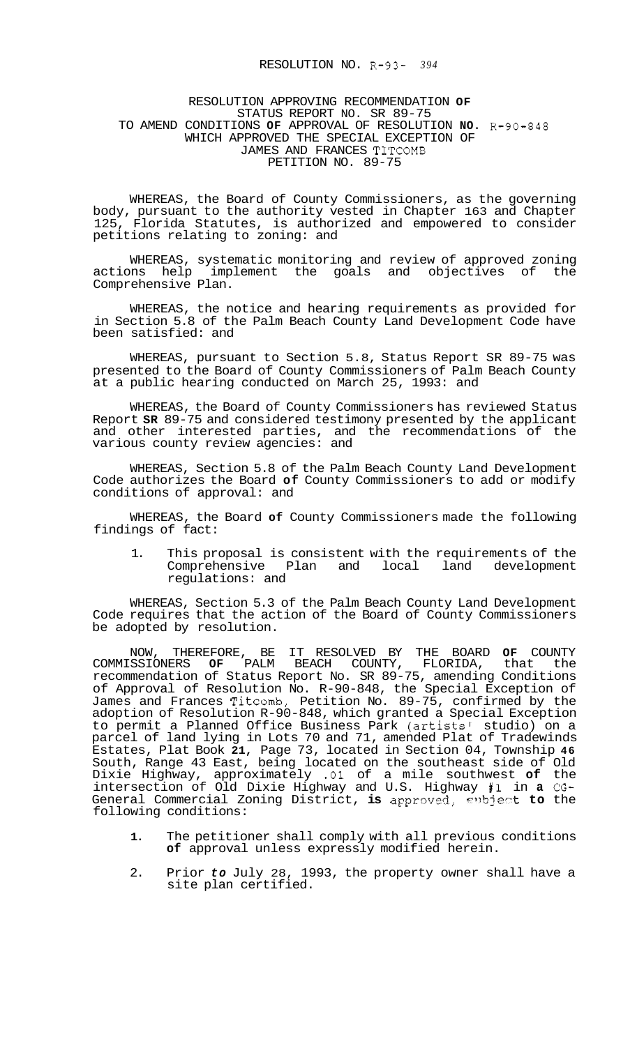## RESOLUTION NO. R-93- *394*

## RESOLUTION APPROVING RECOMMENDATION **OF**  STATUS REPORT NO. SR 89-75 TO AMEND CONDITIONS **OF** APPROVAL OF RESOLUTION **NO.** R-90-848 WHICH APPROVED THE SPECIAL EXCEPTION OF JAMES AND FRANCES TITCOMB PETITION NO. 89-75

WHEREAS, the Board of County Commissioners, as the governing body, pursuant to the authority vested in Chapter 163 and Chapter 125, Florida Statutes, is authorized and empowered to consider petitions relating to zoning: and

WHEREAS, systematic monitoring and review of approved zoning actions help implement the goals and objectives of the Comprehensive Plan.

WHEREAS, the notice and hearing requirements as provided for in Section 5.8 of the Palm Beach County Land Development Code have been satisfied: and

WHEREAS, pursuant to Section 5.8, Status Report SR 89-75 was presented to the Board of County Commissioners of Palm Beach County at a public hearing conducted on March 25, 1993: and

WHEREAS, the Board of County Commissioners has reviewed Status Report **SR** 89-75 and considered testimony presented by the applicant and other interested parties, and the recommendations of the various county review agencies: and

WHEREAS, Section 5.8 of the Palm Beach County Land Development Code authorizes the Board **of** County Commissioners to add or modify conditions of approval: and

WHEREAS, the Board **of** County Commissioners made the following findings of fact:

1. This proposal is consistent with the requirements of the Comprehensive Plan and local land development regulations: and

WHEREAS, Section 5.3 of the Palm Beach County Land Development Code requires that the action of the Board of County Commissioners be adopted by resolution.

NOW, THEREFORE, BE IT RESOLVED BY THE BOARD **OF** COUNTY COMMISSIONERS **OF** PALM BEACH COUNTY, FLORIDA, that the recommendation of Status Report No. SR 89-75, amending Conditions of Approval of Resolution No. R-90-848, the Special Exception of James and Frances Titcomb, Petition No. 89-75, confirmed by the adoption of Resolution R-90-848, which granted a Special Exception to permit a Planned Office Business Park (artists' studio) on a parcel of land lying in Lots 70 and 71, amended Plat of Tradewinds Estates, Plat Book **21,** Page 73, located in Section 04, Township **46**  South, Range 43 East, being located on the southeast side of Old Dixie Highway, approximately .01 of a mile southwest **of** the intersection of Old Dixie Highway and U.S. Highway **#1** in **a** CG-General Commercial Zoning District, is approved, subject to the following conditions:

- **1.** The petitioner shall comply with all previous conditions **of** approval unless expressly modified herein.
- 2. Prior *to* July 28, 1993, the property owner shall have a site plan certified.